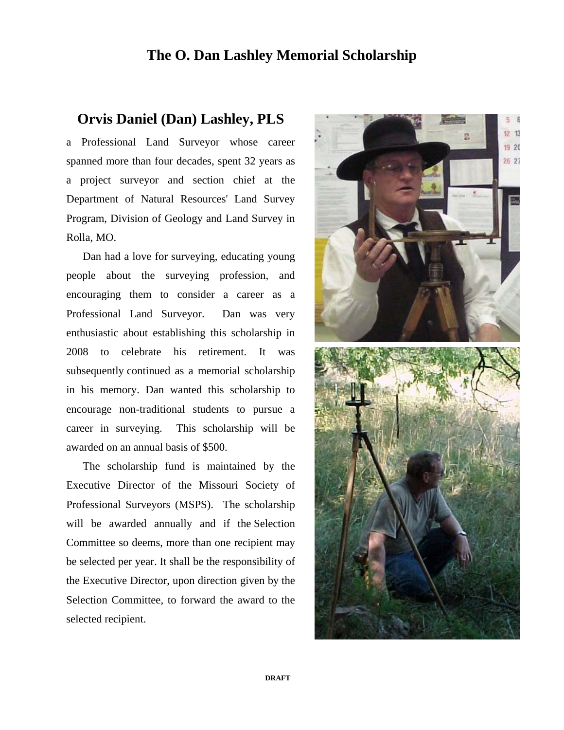## **The O. Dan Lashley Memorial Scholarship**

## **Orvis Daniel (Dan) Lashley, PLS**

a Professional Land Surveyor whose career spanned more than four decades, spent 32 years as a project surveyor and section chief at the Department of Natural Resources' Land Survey Program, Division of Geology and Land Survey in Rolla, MO.

 Dan had a love for surveying, educating young people about the surveying profession, and encouraging them to consider a career as a Professional Land Surveyor. Dan was very enthusiastic about establishing this scholarship in 2008 to celebrate his retirement. It was subsequently continued as a memorial scholarship in his memory. Dan wanted this scholarship to encourage non-traditional students to pursue a career in surveying. This scholarship will be awarded on an annual basis of \$500.

 The scholarship fund is maintained by the Executive Director of the Missouri Society of Professional Surveyors (MSPS). The scholarship will be awarded annually and if the Selection Committee so deems, more than one recipient may be selected per year. It shall be the responsibility of the Executive Director, upon direction given by the Selection Committee, to forward the award to the selected recipient.

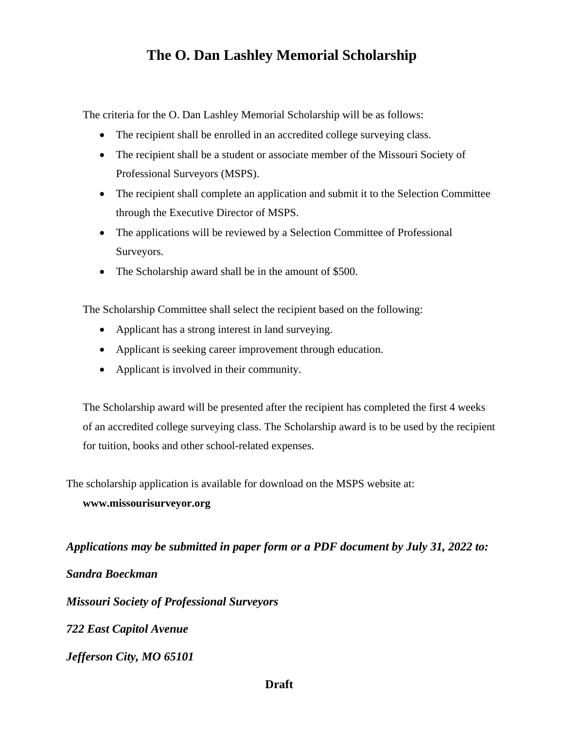# **The O. Dan Lashley Memorial Scholarship**

The criteria for the O. Dan Lashley Memorial Scholarship will be as follows:

- The recipient shall be enrolled in an accredited college surveying class.
- The recipient shall be a student or associate member of the Missouri Society of Professional Surveyors (MSPS).
- The recipient shall complete an application and submit it to the Selection Committee through the Executive Director of MSPS.
- The applications will be reviewed by a Selection Committee of Professional Surveyors.
- The Scholarship award shall be in the amount of \$500.

The Scholarship Committee shall select the recipient based on the following:

- Applicant has a strong interest in land surveying.
- Applicant is seeking career improvement through education.
- Applicant is involved in their community.

The Scholarship award will be presented after the recipient has completed the first 4 weeks of an accredited college surveying class. The Scholarship award is to be used by the recipient for tuition, books and other school-related expenses.

The scholarship application is available for download on the MSPS website at:

#### **www.missourisurveyor.org**

*Applications may be submitted in paper form or a PDF document by July 31, 2022 to:* 

*Sandra Boeckman* 

*Missouri Society of Professional Surveyors* 

*722 East Capitol Avenue* 

*Jefferson City, MO 65101* 

#### **Draft**